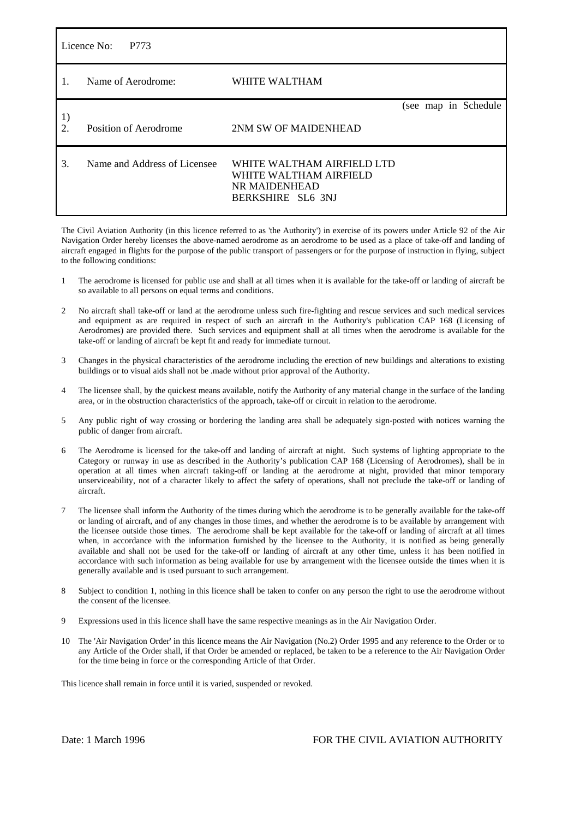| Licence No:<br>P773    |                              |                                                                                            |  |  |  |                      |  |
|------------------------|------------------------------|--------------------------------------------------------------------------------------------|--|--|--|----------------------|--|
| 1.                     | Name of Aerodrome:           | WHITE WALTHAM                                                                              |  |  |  |                      |  |
|                        |                              |                                                                                            |  |  |  | (see map in Schedule |  |
| 1)<br>$\overline{2}$ . | Position of Aerodrome        | 2NM SW OF MAIDENHEAD                                                                       |  |  |  |                      |  |
| 3.                     | Name and Address of Licensee | WHITE WALTHAM AIRFIELD LTD<br>WHITE WALTHAM AIRFIELD<br>NR MAIDENHEAD<br>BERKSHIRE SL6 3NJ |  |  |  |                      |  |

The Civil Aviation Authority (in this licence referred to as 'the Authority') in exercise of its powers under Article 92 of the Air Navigation Order hereby licenses the above-named aerodrome as an aerodrome to be used as a place of take-off and landing of aircraft engaged in flights for the purpose of the public transport of passengers or for the purpose of instruction in flying, subject to the following conditions:

- 1 The aerodrome is licensed for public use and shall at all times when it is available for the take-off or landing of aircraft be so available to all persons on equal terms and conditions.
- 2 No aircraft shall take-off or land at the aerodrome unless such fire-fighting and rescue services and such medical services and equipment as are required in respect of such an aircraft in the Authority's publication CAP 168 (Licensing of Aerodromes) are provided there. Such services and equipment shall at all times when the aerodrome is available for the take-off or landing of aircraft be kept fit and ready for immediate turnout.
- 3 Changes in the physical characteristics of the aerodrome including the erection of new buildings and alterations to existing buildings or to visual aids shall not be .made without prior approval of the Authority.
- The licensee shall, by the quickest means available, notify the Authority of any material change in the surface of the landing area, or in the obstruction characteristics of the approach, take-off or circuit in relation to the aerodrome.
- 5 Any public right of way crossing or bordering the landing area shall be adequately sign-posted with notices warning the public of danger from aircraft.
- 6 The Aerodrome is licensed for the take-off and landing of aircraft at night. Such systems of lighting appropriate to the Category or runway in use as described in the Authority's publication CAP 168 (Licensing of Aerodromes), shall be in operation at all times when aircraft taking-off or landing at the aerodrome at night, provided that minor temporary unserviceability, not of a character likely to affect the safety of operations, shall not preclude the take-off or landing of aircraft.
- 7 The licensee shall inform the Authority of the times during which the aerodrome is to be generally available for the take-off or landing of aircraft, and of any changes in those times, and whether the aerodrome is to be available by arrangement with the licensee outside those times. The aerodrome shall be kept available for the take-off or landing of aircraft at all times when, in accordance with the information furnished by the licensee to the Authority, it is notified as being generally available and shall not be used for the take-off or landing of aircraft at any other time, unless it has been notified in accordance with such information as being available for use by arrangement with the licensee outside the times when it is generally available and is used pursuant to such arrangement.
- 8 Subject to condition 1, nothing in this licence shall be taken to confer on any person the right to use the aerodrome without the consent of the licensee.
- Expressions used in this licence shall have the same respective meanings as in the Air Navigation Order.
- 10 The 'Air Navigation Order' in this licence means the Air Navigation (No.2) Order 1995 and any reference to the Order or to any Article of the Order shall, if that Order be amended or replaced, be taken to be a reference to the Air Navigation Order for the time being in force or the corresponding Article of that Order.

This licence shall remain in force until it is varied, suspended or revoked.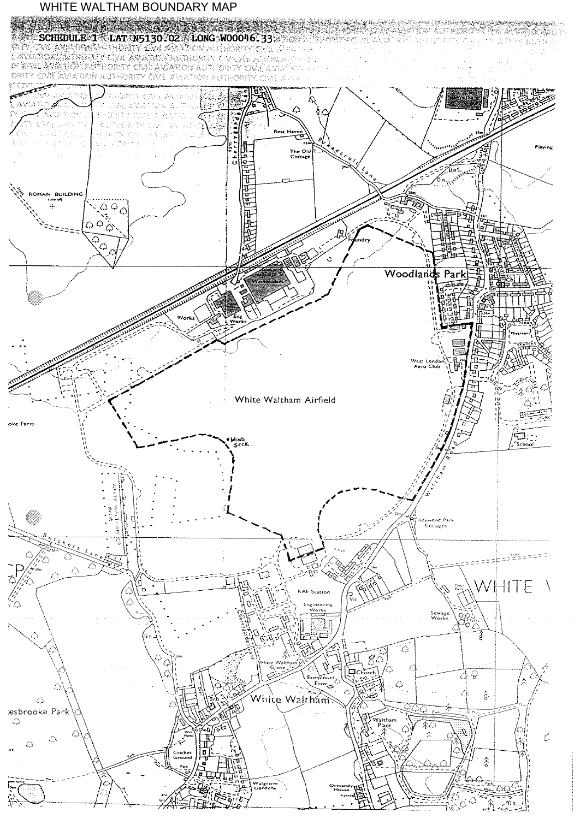## WHITE WALTHAM BOUNDARY MAP

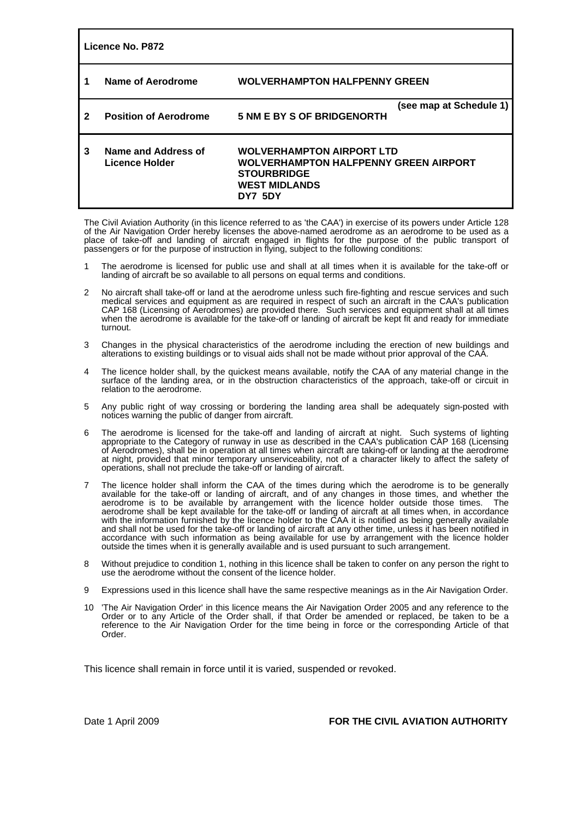| Licence No. P872 |                                       |                                                                                                                                           |                         |  |  |  |  |  |
|------------------|---------------------------------------|-------------------------------------------------------------------------------------------------------------------------------------------|-------------------------|--|--|--|--|--|
|                  | Name of Aerodrome                     | <b>WOLVERHAMPTON HALFPENNY GREEN</b>                                                                                                      |                         |  |  |  |  |  |
| 2                | <b>Position of Aerodrome</b>          | <b>5 NM E BY S OF BRIDGENORTH</b>                                                                                                         | (see map at Schedule 1) |  |  |  |  |  |
| 3                | Name and Address of<br>Licence Holder | <b>WOLVERHAMPTON AIRPORT LTD</b><br><b>WOLVERHAMPTON HALFPENNY GREEN AIRPORT</b><br><b>STOURBRIDGE</b><br><b>WEST MIDLANDS</b><br>DY7 5DY |                         |  |  |  |  |  |

The Civil Aviation Authority (in this licence referred to as 'the CAA') in exercise of its powers under Article 128 of the Air Navigation Order hereby licenses the above-named aerodrome as an aerodrome to be used as a place of take-off and landing of aircraft engaged in flights for the purpose of the public transport of passengers or for the purpose of instruction in flying, subject to the following conditions:

- 1 The aerodrome is licensed for public use and shall at all times when it is available for the take-off or landing of aircraft be so available to all persons on equal terms and conditions.
- 2 No aircraft shall take-off or land at the aerodrome unless such fire-fighting and rescue services and such medical services and equipment as are required in respect of such an aircraft in the CAA's publication CAP 168 (Licensing of Aerodromes) are provided there. Such services and equipment shall at all times when the aerodrome is available for the take-off or landing of aircraft be kept fit and ready for immediate turnout.
- 3 Changes in the physical characteristics of the aerodrome including the erection of new buildings and alterations to existing buildings or to visual aids shall not be made without prior approval of the CAA.
- 4 The licence holder shall, by the quickest means available, notify the CAA of any material change in the surface of the landing area, or in the obstruction characteristics of the approach, take-off or circuit in relation to the aerodrome.
- 5 Any public right of way crossing or bordering the landing area shall be adequately sign-posted with notices warning the public of danger from aircraft.
- 6 The aerodrome is licensed for the take-off and landing of aircraft at night. Such systems of lighting appropriate to the Category of runway in use as described in the CAA's publication CAP 168 (Licensing of Aerodromes), shall be in operation at all times when aircraft are taking-off or landing at the aerodrome at night, provided that minor temporary unserviceability, not of a character likely to affect the safety of operations, shall not preclude the take-off or landing of aircraft.
- 7 The licence holder shall inform the CAA of the times during which the aerodrome is to be generally available for the take-off or landing of aircraft, and of any changes in those times, and whether the aerodrome is to be available by arrangement with the licence holder outside those times. The aerodrome shall be kept available for the take-off or landing of aircraft at all times when, in accordance with the information furnished by the licence holder to the CAA it is notified as being generally available and shall not be used for the take-off or landing of aircraft at any other time, unless it has been notified in accordance with such information as being available for use by arrangement with the licence holder outside the times when it is generally available and is used pursuant to such arrangement.
- 8 Without prejudice to condition 1, nothing in this licence shall be taken to confer on any person the right to use the aerodrome without the consent of the licence holder.
- 9 Expressions used in this licence shall have the same respective meanings as in the Air Navigation Order.
- 10 'The Air Navigation Order' in this licence means the Air Navigation Order 2005 and any reference to the Order or to any Article of the Order shall, if that Order be amended or replaced, be taken to be a reference to the Air Navigation Order for the time being in force or the corresponding Article of that Order.

This licence shall remain in force until it is varied, suspended or revoked.